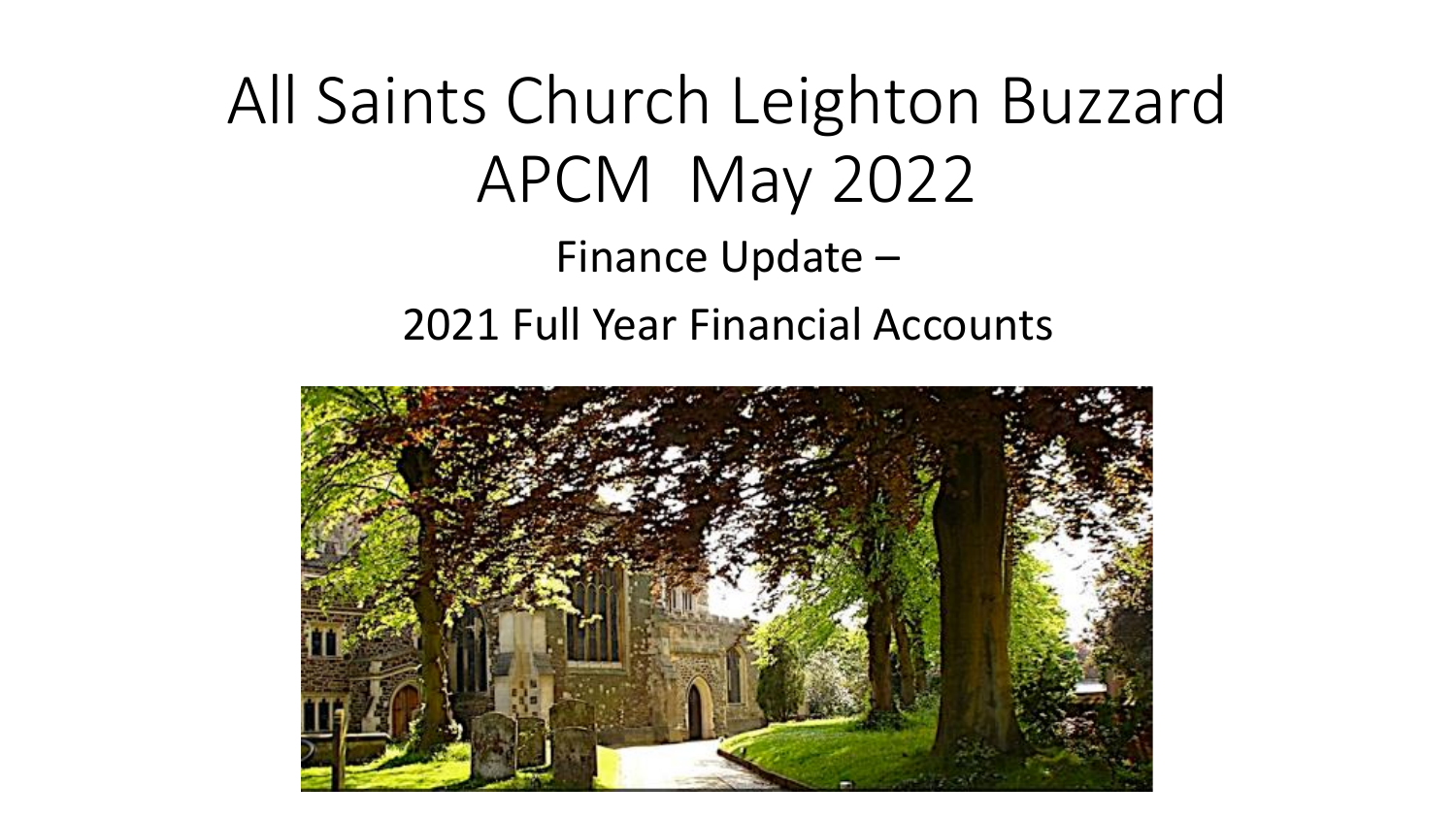All Saints Church Leighton Buzzard APCM May 2022 Finance Update – 2021 Full Year Financial Accounts

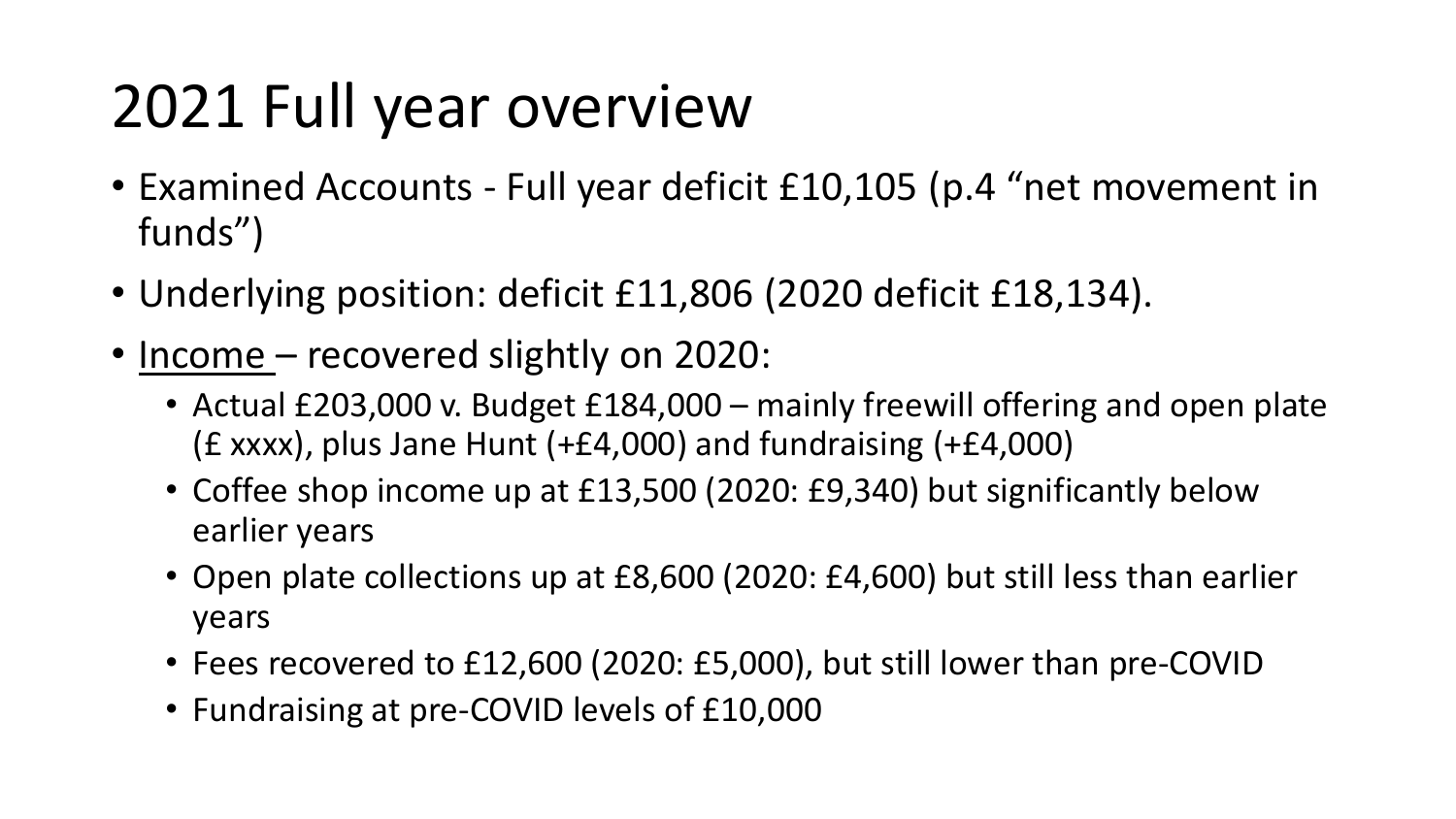## 2021 Full year overview

- Examined Accounts Full year deficit £10,105 (p.4 "net movement in funds")
- Underlying position: deficit £11,806 (2020 deficit £18,134).
- Income recovered slightly on 2020:
	- Actual £203,000 v. Budget £184,000 mainly freewill offering and open plate (£ xxxx), plus Jane Hunt (+£4,000) and fundraising (+£4,000)
	- Coffee shop income up at £13,500 (2020: £9,340) but significantly below earlier years
	- Open plate collections up at £8,600 (2020: £4,600) but still less than earlier years
	- Fees recovered to £12,600 (2020: £5,000), but still lower than pre-COVID
	- Fundraising at pre-COVID levels of £10,000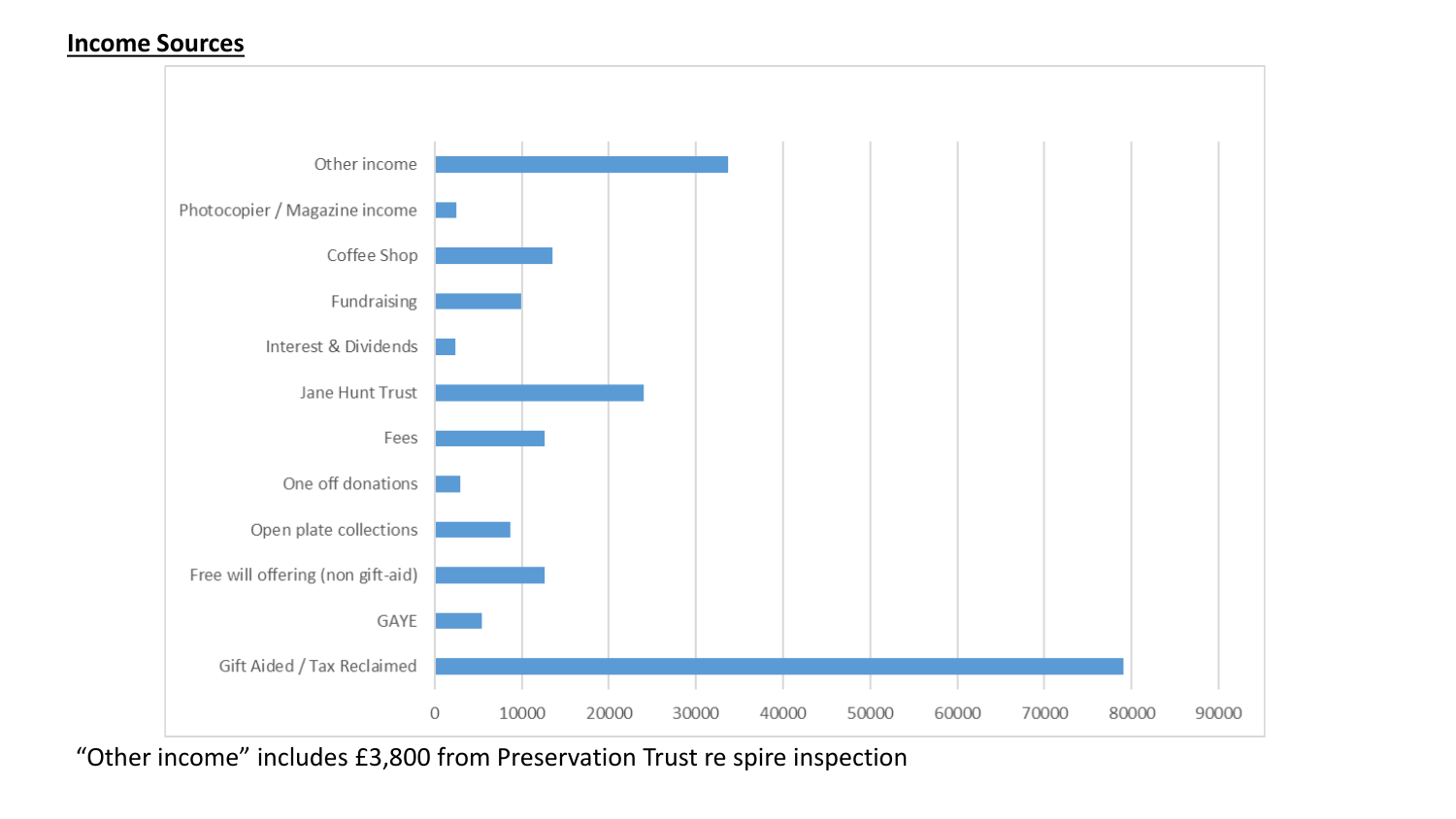## **Income Sources**



"Other income" includes £3,800 from Preservation Trust re spire inspection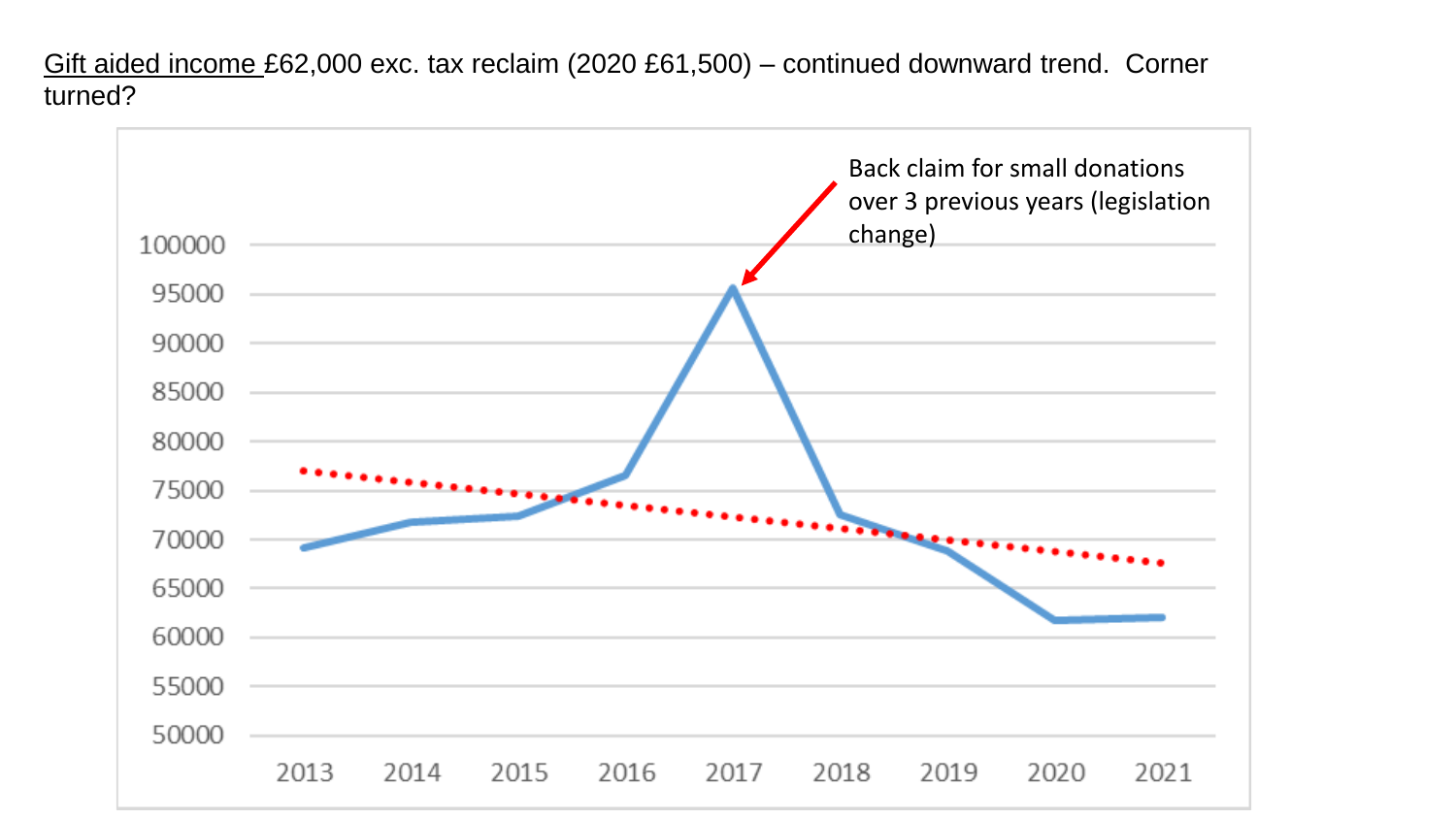Gift aided income £62,000 exc. tax reclaim (2020 £61,500) – continued downward trend. Corner turned?

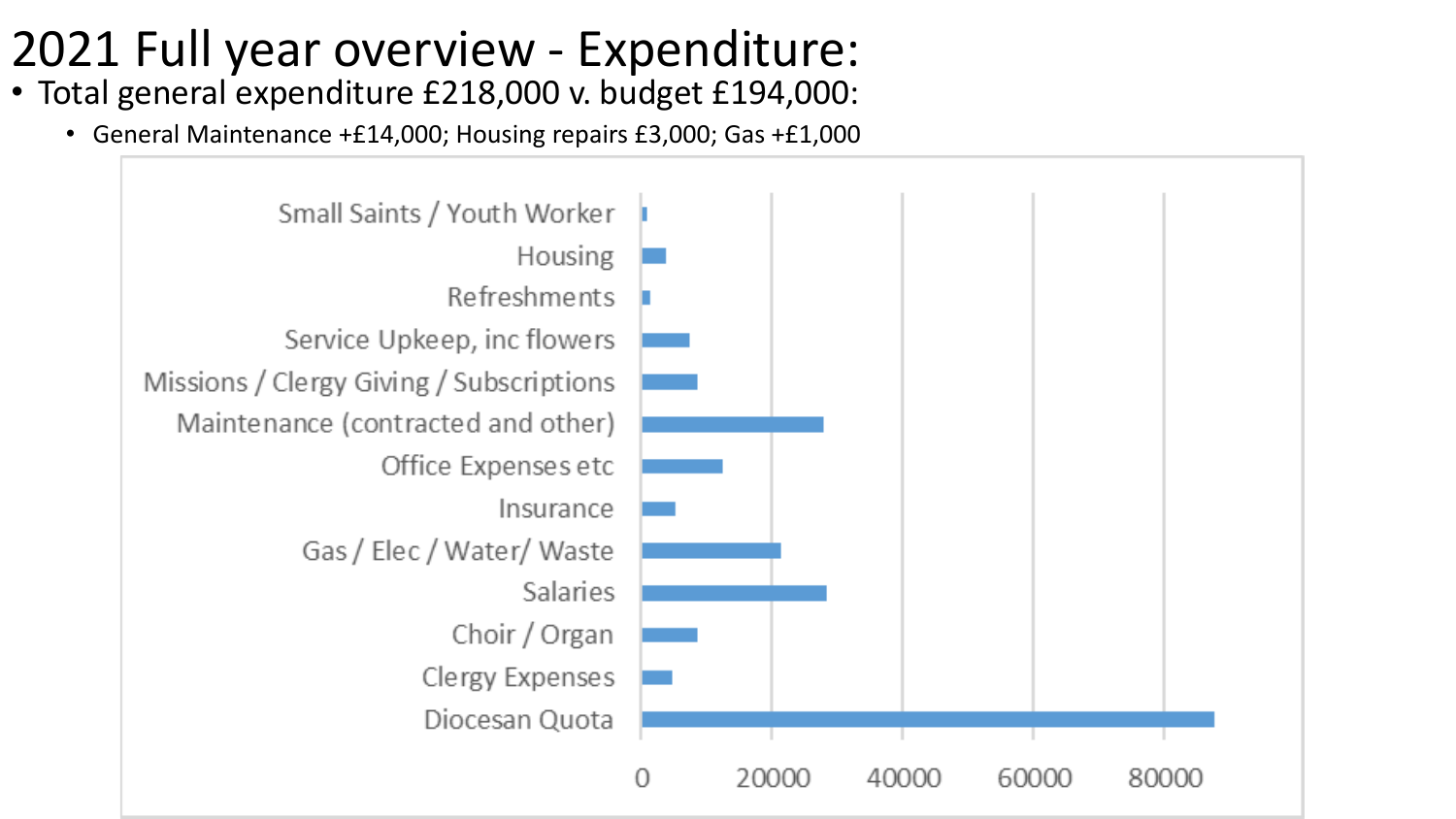## 2021 Full year overview - Expenditure:

- Total general expenditure £218,000 v. budget £194,000:
	- General Maintenance +£14,000; Housing repairs £3,000; Gas +£1,000